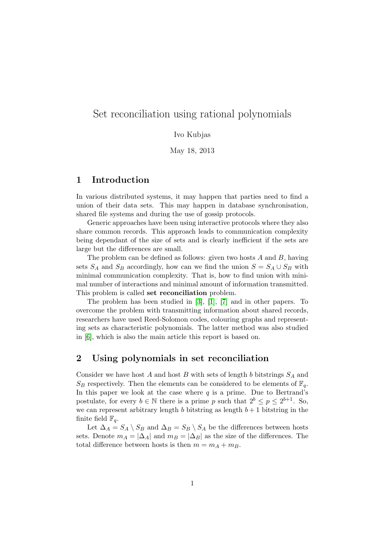# Set reconciliation using rational polynomials

Ivo Kubjas

May 18, 2013

## 1 Introduction

In various distributed systems, it may happen that parties need to find a union of their data sets. This may happen in database synchronisation, shared file systems and during the use of gossip protocols.

Generic approaches have been using interactive protocols where they also share common records. This approach leads to communication complexity being dependant of the size of sets and is clearly inefficient if the sets are large but the differences are small.

The problem can be defined as follows: given two hosts  $A$  and  $B$ , having sets  $S_A$  and  $S_B$  accordingly, how can we find the union  $S = S_A \cup S_B$  with minimal communication complexity. That is, how to find union with minimal number of interactions and minimal amount of information transmitted. This problem is called set reconciliation problem.

The problem has been studied in [\[3\]](#page-8-0), [\[1\]](#page-8-1), [\[7\]](#page-8-2) and in other papers. To overcome the problem with transmitting information about shared records, researchers have used Reed-Solomon codes, colouring graphs and representing sets as characteristic polynomials. The latter method was also studied in [\[6\]](#page-8-3), which is also the main article this report is based on.

## 2 Using polynomials in set reconciliation

Consider we have host  $A$  and host  $B$  with sets of length  $b$  bitstrings  $S_A$  and  $S_B$  respectively. Then the elements can be considered to be elements of  $\mathbb{F}_q$ . In this paper we look at the case where  $q$  is a prime. Due to Bertrand's postulate, for every  $b \in \mathbb{N}$  there is a prime p such that  $2^b \le p \le 2^{b+1}$ . So, we can represent arbitrary length b bitstring as length  $b + 1$  bitstring in the finite field  $\mathbb{F}_q$ .

Let  $\Delta_A = S_A \setminus S_B$  and  $\Delta_B = S_B \setminus S_A$  be the differences between hosts sets. Denote  $m_A = |\Delta_A|$  and  $m_B = |\Delta_B|$  as the size of the differences. The total difference between hosts is then  $m = m_A + m_B$ .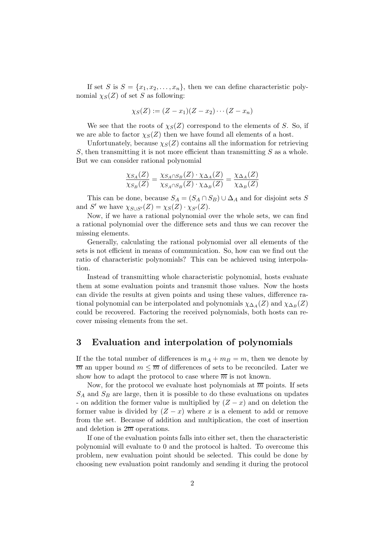If set S is  $S = \{x_1, x_2, \ldots, x_n\}$ , then we can define characteristic polynomial  $\chi_S(Z)$  of set S as following:

$$
\chi_S(Z) := (Z-x_1)(Z-x_2)\cdots(Z-x_n)
$$

We see that the roots of  $\chi_S(Z)$  correspond to the elements of S. So, if we are able to factor  $\chi_S(Z)$  then we have found all elements of a host.

Unfortunately, because  $\chi_S(Z)$  contains all the information for retrieving S, then transmitting it is not more efficient than transmitting  $S$  as a whole. But we can consider rational polynomial

$$
\frac{\chi_{S_A}(Z)}{\chi_{S_B}(Z)} = \frac{\chi_{S_A \cap S_B}(Z) \cdot \chi_{\Delta_A}(Z)}{\chi_{S_A \cap S_B}(Z) \cdot \chi_{\Delta_B}(Z)} = \frac{\chi_{\Delta_A}(Z)}{\chi_{\Delta_B}(Z)}
$$

This can be done, because  $S_A = (S_A \cap S_B) \cup \Delta_A$  and for disjoint sets S and S' we have  $\chi_{S\cup S'}(Z) = \chi_S(Z) \cdot \chi_{S'}(Z)$ .

Now, if we have a rational polynomial over the whole sets, we can find a rational polynomial over the difference sets and thus we can recover the missing elements.

Generally, calculating the rational polynomial over all elements of the sets is not efficient in means of communication. So, how can we find out the ratio of characteristic polynomials? This can be achieved using interpolation.

Instead of transmitting whole characteristic polynomial, hosts evaluate them at some evaluation points and transmit those values. Now the hosts can divide the results at given points and using these values, difference rational polynomial can be interpolated and polynomials  $\chi_{\Delta_A}(Z)$  and  $\chi_{\Delta_B}(Z)$ could be recovered. Factoring the received polynomials, both hosts can recover missing elements from the set.

### 3 Evaluation and interpolation of polynomials

If the the total number of differences is  $m_A + m_B = m$ , then we denote by  $\overline{m}$  an upper bound  $m \leq \overline{m}$  of differences of sets to be reconciled. Later we show how to adapt the protocol to case where  $\overline{m}$  is not known.

Now, for the protocol we evaluate host polynomials at  $\overline{m}$  points. If sets  $S_A$  and  $S_B$  are large, then it is possible to do these evaluations on updates - on addition the former value is multiplied by  $(Z - x)$  and on deletion the former value is divided by  $(Z - x)$  where x is a element to add or remove from the set. Because of addition and multiplication, the cost of insertion and deletion is  $2\overline{m}$  operations.

If one of the evaluation points falls into either set, then the characteristic polynomial will evaluate to 0 and the protocol is halted. To overcome this problem, new evaluation point should be selected. This could be done by choosing new evaluation point randomly and sending it during the protocol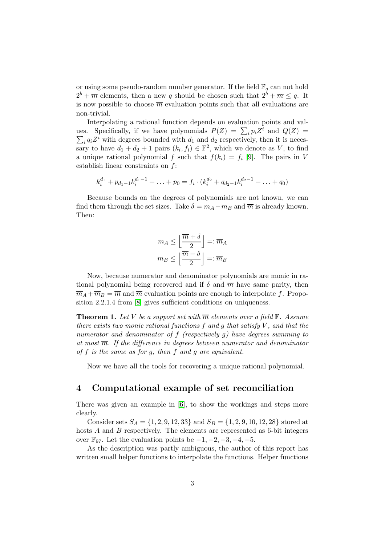or using some pseudo-random number generator. If the field  $\mathbb{F}_q$  can not hold  $2^b + \overline{m}$  elements, then a new q should be chosen such that  $2^b + \overline{m} \leq q$ . It is now possible to choose  $\overline{m}$  evaluation points such that all evaluations are non-trivial.

Interpolating a rational function depends on evaluation points and values. Specifically, if we have polynomials  $P(Z) = \sum_i p_i Z^i$  and  $Q(Z) =$  $\sum_i q_i Z^i$  with degrees bounded with  $d_1$  and  $d_2$  respectively, then it is necessary to have  $d_1 + d_2 + 1$  pairs  $(k_i, f_i) \in \mathbb{F}^2$ , which we denote as V, to find a unique rational polynomial f such that  $f(k_i) = f_i$  [\[9\]](#page-9-0). The pairs in V establish linear constraints on f:

$$
k_i^{d_1} + p_{d_1-1}k_i^{d_1-1} + \ldots + p_0 = f_i \cdot (k_i^{d_2} + q_{d_2-1}k_i^{d_2-1} + \ldots + q_0)
$$

Because bounds on the degrees of polynomials are not known, we can find them through the set sizes. Take  $\delta = m_A - m_B$  and  $\overline{m}$  is already known. Then:

$$
m_A \le \left\lfloor \frac{\overline{m} + \delta}{2} \right\rfloor =: \overline{m}_A
$$

$$
m_B \le \left\lfloor \frac{\overline{m} - \delta}{2} \right\rfloor =: \overline{m}_B
$$

Now, because numerator and denominator polynomials are monic in rational polynomial being recovered and if  $\delta$  and  $\overline{m}$  have same parity, then  $\overline{m}_A + \overline{m}_B = \overline{m}$  and  $\overline{m}$  evaluation points are enough to interpolate f. Proposition 2.2.1.4 from [\[8\]](#page-9-1) gives sufficient conditions on uniqueness.

<span id="page-2-0"></span>**Theorem 1.** Let V be a support set with  $\overline{m}$  elements over a field  $\mathbb{F}$ . Assume there exists two monic rational functions  $f$  and  $g$  that satisfy  $V$ , and that the numerator and denominator of  $f$  (respectively  $g$ ) have degrees summing to at most  $\overline{m}$ . If the difference in degrees between numerator and denominator of f is the same as for g, then f and g are equivalent.

Now we have all the tools for recovering a unique rational polynomial.

### 4 Computational example of set reconciliation

There was given an example in [\[6\]](#page-8-3), to show the workings and steps more clearly.

Consider sets  $S_A = \{1, 2, 9, 12, 33\}$  and  $S_B = \{1, 2, 9, 10, 12, 28\}$  stored at hosts  $A$  and  $B$  respectively. The elements are represented as 6-bit integers over  $\mathbb{F}_{97}$ . Let the evaluation points be  $-1, -2, -3, -4, -5$ .

As the description was partly ambiguous, the author of this report has written small helper functions to interpolate the functions. Helper functions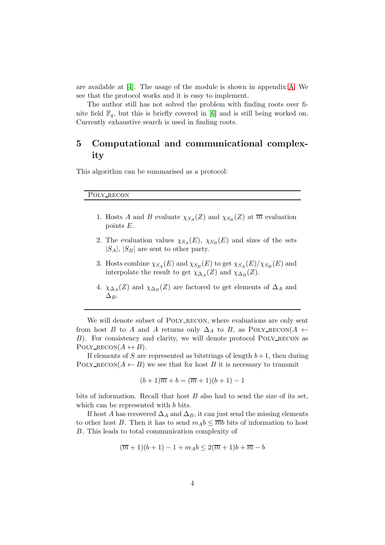are available at [\[4\]](#page-8-4). The usage of the module is shown in appendix [A.](#page-10-0) We see that the protocol works and it is easy to implement.

The author still has not solved the problem with finding roots over finite field  $\mathbb{F}_q$ , but this is briefly covered in [\[6\]](#page-8-3) and is still being worked on. Currently exhaustive search is used in finding roots.

# 5 Computational and communicational complexity

This algorithm can be summarised as a protocol:

#### POLY\_RECON

- 1. Hosts A and B evaluate  $\chi_{S_A}(Z)$  and  $\chi_{S_B}(Z)$  at  $\overline{m}$  evaluation points E.
- 2. The evaluation values  $\chi_{S_A}(E)$ ,  $\chi_{S_B}(E)$  and sizes of the sets  $|S_A|, |S_B|$  are sent to other party.
- 3. Hosts combine  $\chi_{S_A}(E)$  and  $\chi_{S_B}(E)$  to get  $\chi_{S_A}(E)/\chi_{S_B}(E)$  and interpolate the result to get  $\chi_{\Delta_A}(Z)$  and  $\chi_{\Delta_B}(Z)$ .
- 4.  $\chi_{\Delta_A}(Z)$  and  $\chi_{\Delta_B}(Z)$  are factored to get elements of  $\Delta_A$  and  $\Delta_B$ .

We will denote subset of POLY\_RECON, where evaluations are only sent from host B to A and A returns only  $\Delta_A$  to B, as POLY RECON(A ←  $B$ ). For consistency and clarity, we will denote protocol POLY\_RECON as POLY RECON $(A \leftrightarrow B)$ .

If elements of S are represented as bitstrings of length  $b+1$ , then during POLY\_RECON( $A \leftarrow B$ ) we see that for host B it is necessary to transmit

$$
(b+1)\overline{m} + b = (\overline{m} + 1)(b+1) - 1
$$

bits of information. Recall that host  $B$  also had to send the size of its set, which can be represented with b bits.

If host A has recovered  $\Delta_A$  and  $\Delta_B$ , it can just send the missing elements to other host B. Then it has to send  $m_A b \leq \overline{m}b$  bits of information to host B. This leads to total communication complexity of

$$
(\overline{m}+1)(b+1)-1+m_Ab\leq 2(\overline{m}+1)b+\overline{m}-b
$$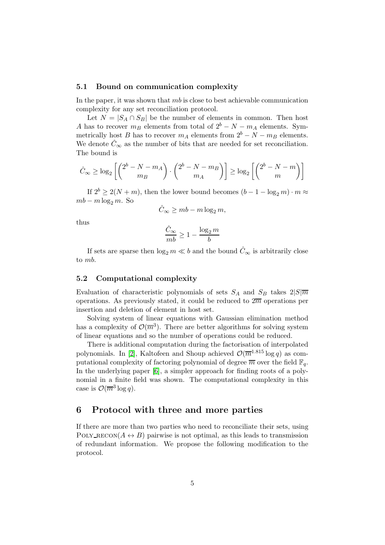#### 5.1 Bound on communication complexity

In the paper, it was shown that mb is close to best achievable communication complexity for any set reconciliation protocol.

Let  $N = |S_A \cap S_B|$  be the number of elements in common. Then host A has to recover  $m_B$  elements from total of  $2^b - N - m_A$  elements. Symmetrically host B has to recover  $m_A$  elements from  $2^b - N - m_B$  elements. We denote  $C_{\infty}$  as the number of bits that are needed for set reconciliation. The bound is

$$
\hat{C}_{\infty} \ge \log_2\left[ \binom{2^b - N - m_A}{m_B} \cdot \binom{2^b - N - m_B}{m_A} \right] \ge \log_2\left[ \binom{2^b - N - m}{m} \right]
$$

If  $2^b \geq 2(N+m)$ , then the lower bound becomes  $(b-1-\log_2 m)\cdot m \approx$  $mb - m \log_2 m$ . So

$$
\hat{C}_{\infty} \ge mb - m \log_2 m,
$$

thus

$$
\frac{\hat{C}_{\infty}}{mb} \ge 1 - \frac{\log_2 m}{b}
$$

If sets are sparse then  $\log_2 m \ll b$  and the bound  $\hat{C}_{\infty}$  is arbitrarily close to mb.

#### 5.2 Computational complexity

Evaluation of characteristic polynomials of sets  $S_A$  and  $S_B$  takes  $2|S|\overline{m}$ operations. As previously stated, it could be reduced to  $2\overline{m}$  operations per insertion and deletion of element in host set.

Solving system of linear equations with Gaussian elimination method has a complexity of  $\mathcal{O}(\overline{m}^3)$ . There are better algorithms for solving system of linear equations and so the number of operations could be reduced.

There is additional computation during the factorisation of interpolated polynomials. In [\[2\]](#page-8-5), Kaltofeen and Shoup achieved  $\mathcal{O}(\overline{m}^{1.815}\log q)$  as computational complexity of factoring polynomial of degree  $\overline{m}$  over the field  $\mathbb{F}_q$ . In the underlying paper [\[6\]](#page-8-3), a simpler approach for finding roots of a polynomial in a finite field was shown. The computational complexity in this case is  $\mathcal{O}(\overline{m}^3 \log q)$ .

### 6 Protocol with three and more parties

If there are more than two parties who need to reconciliate their sets, using POLY RECON( $A \leftrightarrow B$ ) pairwise is not optimal, as this leads to transmission of redundant information. We propose the following modification to the protocol.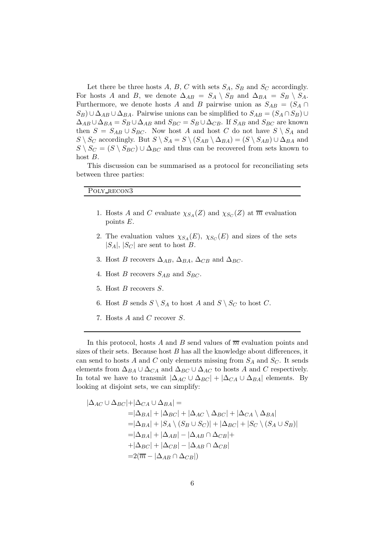Let there be three hosts  $A, B, C$  with sets  $S_A$ ,  $S_B$  and  $S_C$  accordingly. For hosts A and B, we denote  $\Delta_{AB} = S_A \setminus S_B$  and  $\Delta_{BA} = S_B \setminus S_A$ . Furthermore, we denote hosts A and B pairwise union as  $S_{AB} = (S_A \cap \mathbb{R})$  $(S_B) \cup \Delta_{AB} \cup \Delta_{BA}$ . Pairwise unions can be simplified to  $S_{AB} = (S_A \cap S_B) \cup \Delta_{AB} \cup \Delta_{BA}$ .  $\Delta_{AB} \cup \Delta_{BA} = S_B \cup \Delta_{AB}$  and  $S_{BC} = S_B \cup \Delta_{CB}$ . If  $S_{AB}$  and  $S_{BC}$  are known then  $S = S_{AB} \cup S_{BC}$ . Now host A and host C do not have  $S \setminus S_A$  and  $S \setminus S_C$  accordingly. But  $S \setminus S_A = S \setminus (S_{AB} \setminus \Delta_{BA}) = (S \setminus S_{AB}) \cup \Delta_{BA}$  and  $S \setminus S_C = (S \setminus S_{BC}) \cup \Delta_{BC}$  and thus can be recovered from sets known to host B.

This discussion can be summarised as a protocol for reconciliating sets between three parties:

POLY\_RECON3

- 1. Hosts A and C evaluate  $\chi_{S_A}(Z)$  and  $\chi_{S_C}(Z)$  at  $\overline{m}$  evaluation points E.
- 2. The evaluation values  $\chi_{S_A}(E)$ ,  $\chi_{S_C}(E)$  and sizes of the sets  $|S_A|, |S_C|$  are sent to host B.
- 3. Host B recovers  $\Delta_{AB}$ ,  $\Delta_{BA}$ ,  $\Delta_{CB}$  and  $\Delta_{BC}$ .
- 4. Host B recovers  $S_{AB}$  and  $S_{BC}$ .
- 5. Host B recovers S.
- 6. Host B sends  $S \setminus S_A$  to host A and  $S \setminus S_C$  to host C.
- 7. Hosts A and C recover S.

In this protocol, hosts A and B send values of  $\overline{m}$  evaluation points and sizes of their sets. Because host  $B$  has all the knowledge about differences, it can send to hosts A and C only elements missing from  $S_A$  and  $S_C$ . It sends elements from  $\Delta_{BA} \cup \Delta_{CA}$  and  $\Delta_{BC} \cup \Delta_{AC}$  to hosts A and C respectively. In total we have to transmit  $|\Delta_{AC} \cup \Delta_{BC}| + |\Delta_{CA} \cup \Delta_{BA}|$  elements. By looking at disjoint sets, we can simplify:

$$
|\Delta_{AC} \cup \Delta_{BC}| + |\Delta_{CA} \cup \Delta_{BA}| =
$$
  
\n
$$
= |\Delta_{BA}| + |\Delta_{BC}| + |\Delta_{AC} \setminus \Delta_{BC}| + |\Delta_{CA} \setminus \Delta_{BA}|
$$
  
\n
$$
= |\Delta_{BA}| + |S_A \setminus (S_B \cup S_C)| + |\Delta_{BC}| + |S_C \setminus (S_A \cup S_B)|
$$
  
\n
$$
= |\Delta_{BA}| + |\Delta_{AB}| - |\Delta_{AB} \cap \Delta_{CB}| +
$$
  
\n
$$
+ |\Delta_{BC}| + |\Delta_{CB}| - |\Delta_{AB} \cap \Delta_{CB}|
$$
  
\n
$$
= 2(\overline{m} - |\Delta_{AB} \cap \Delta_{CB}|)
$$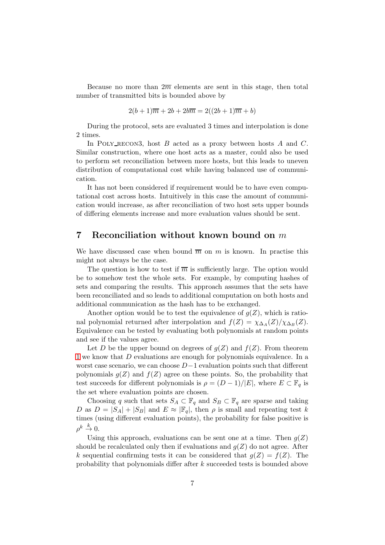Because no more than  $2\overline{m}$  elements are sent in this stage, then total number of transmitted bits is bounded above by

$$
2(b+1)\overline{m} + 2b + 2b\overline{m} = 2((2b+1)\overline{m} + b)
$$

During the protocol, sets are evaluated 3 times and interpolation is done 2 times.

In POLY RECON3, host  $B$  acted as a proxy between hosts  $A$  and  $C$ . Similar construction, where one host acts as a master, could also be used to perform set reconciliation between more hosts, but this leads to uneven distribution of computational cost while having balanced use of communication.

It has not been considered if requirement would be to have even computational cost across hosts. Intuitively in this case the amount of communication would increase, as after reconciliation of two host sets upper bounds of differing elements increase and more evaluation values should be sent.

### 7 Reconciliation without known bound on  $m$

We have discussed case when bound  $\overline{m}$  on m is known. In practise this might not always be the case.

The question is how to test if  $\overline{m}$  is sufficiently large. The option would be to somehow test the whole sets. For example, by computing hashes of sets and comparing the results. This approach assumes that the sets have been reconciliated and so leads to additional computation on both hosts and additional communication as the hash has to be exchanged.

Another option would be to test the equivalence of  $g(Z)$ , which is rational polynomial returned after interpolation and  $f(Z) = \chi_{\Delta_A}(Z)/\chi_{\Delta_B}(Z)$ . Equivalence can be tested by evaluating both polynomials at random points and see if the values agree.

Let D be the upper bound on degrees of  $g(Z)$  and  $f(Z)$ . From theorem [1](#page-2-0) we know that D evaluations are enough for polynomials equivalence. In a worst case scenario, we can choose D−1 evaluation points such that different polynomials  $g(Z)$  and  $f(Z)$  agree on these points. So, the probability that test succeeds for different polynomials is  $\rho = (D-1)/|E|$ , where  $E \subset \mathbb{F}_q$  is the set where evaluation points are chosen.

Choosing q such that sets  $S_A \subset \mathbb{F}_q$  and  $S_B \subset \mathbb{F}_q$  are sparse and taking D as  $D = |S_A| + |S_B|$  and  $E \approx |\mathbb{F}_q|$ , then  $\rho$  is small and repeating test k times (using different evaluation points), the probability for false positive is  $\rho^k \stackrel{k}{\rightarrow} 0.$ 

Using this approach, evaluations can be sent one at a time. Then  $g(Z)$ should be recalculated only then if evaluations and  $g(Z)$  do not agree. After k sequential confirming tests it can be considered that  $q(Z) = f(Z)$ . The probability that polynomials differ after k succeeded tests is bounded above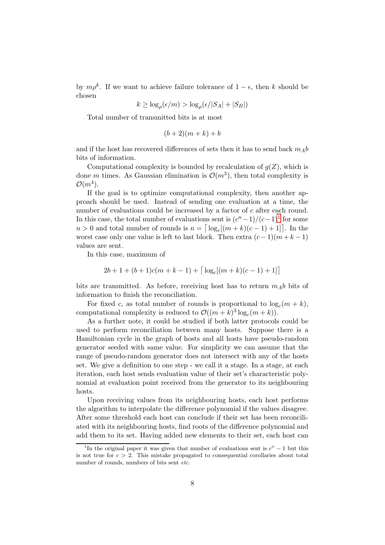by  $m\rho^k$ . If we want to achieve failure tolerance of  $1 - \epsilon$ , then k should be chosen

$$
k \ge \log_{\rho}(\epsilon/m) > \log_{\rho}(\epsilon/|S_A| + |S_B|)
$$

Total number of transmitted bits is at most

$$
(b+2)(m+k)+b
$$

and if the host has recovered differences of sets then it has to send back  $m_A b$ bits of information.

Computational complexity is bounded by recalculation of  $q(Z)$ , which is done m times. As Gaussian elimination is  $\mathcal{O}(m^3)$ , then total complexity is  $\mathcal{O}(m^4)$ .

If the goal is to optimize computational complexity, then another approach should be used. Instead of sending one evaluation at a time, the number of evaluations could be increased by a factor of c after each round. In this case, the total number of evaluations sent is  $(c<sup>n</sup> - 1)/(c-1)<sup>1</sup>$  $(c<sup>n</sup> - 1)/(c-1)<sup>1</sup>$  $(c<sup>n</sup> - 1)/(c-1)<sup>1</sup>$  for some  $n > 0$  and total number of rounds is  $n = \lceil \log_c[(m+k)(c-1)+1] \rceil$ . In the worst case only one value is left to last block. Then extra  $(c-1)(m+k-1)$ values are sent.

In this case, maximum of

$$
2b + 1 + (b + 1)c(m + k - 1) + \lceil \log_c[(m + k)(c - 1) + 1] \rceil
$$

bits are transmitted. As before, receiving host has to return  $m_A b$  bits of information to finish the reconciliation.

For fixed c, as total number of rounds is proportional to  $log<sub>c</sub>(m + k)$ , computational complexity is reduced to  $\mathcal{O}((m+k)^3 \log_c(m+k)).$ 

As a further note, it could be studied if both latter protocols could be used to perform reconciliation between many hosts. Suppose there is a Hamiltonian cycle in the graph of hosts and all hosts have pseudo-random generator seeded with same value. For simplicity we can assume that the range of pseudo-random generator does not intersect with any of the hosts set. We give a definition to one step - we call it a stage. In a stage, at each iteration, each host sends evaluation value of their set's characteristic polynomial at evaluation point received from the generator to its neighbouring hosts.

Upon receiving values from its neighbouring hosts, each host performs the algorithm to interpolate the difference polynomial if the values disagree. After some threshold each host can conclude if their set has been reconciliated with its neighbouring hosts, find roots of the difference polynomial and add them to its set. Having added new elements to their set, each host can

<span id="page-7-0"></span><sup>&</sup>lt;sup>1</sup>In the original paper it was given that number of evaluations sent is  $c<sup>n</sup> - 1$  but this is not true for  $c > 2$ . This mistake propagated to consequential corollaries about total number of rounds, numbers of bits sent etc.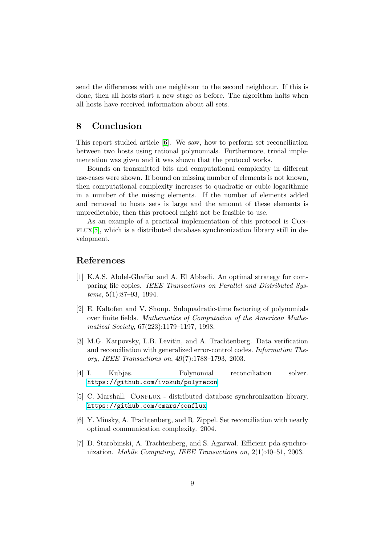send the differences with one neighbour to the second neighbour. If this is done, then all hosts start a new stage as before. The algorithm halts when all hosts have received information about all sets.

# 8 Conclusion

This report studied article [\[6\]](#page-8-3). We saw, how to perform set reconciliation between two hosts using rational polynomials. Furthermore, trivial implementation was given and it was shown that the protocol works.

Bounds on transmitted bits and computational complexity in different use-cases were shown. If bound on missing number of elements is not known, then computational complexity increases to quadratic or cubic logarithmic in a number of the missing elements. If the number of elements added and removed to hosts sets is large and the amount of these elements is unpredictable, then this protocol might not be feasible to use.

As an example of a practical implementation of this protocol is Con- $FLUX[5]$  $FLUX[5]$ , which is a distributed database synchronization library still in development.

### <span id="page-8-1"></span>References

- [1] K.A.S. Abdel-Ghaffar and A. El Abbadi. An optimal strategy for comparing file copies. IEEE Transactions on Parallel and Distributed Systems, 5(1):87–93, 1994.
- <span id="page-8-5"></span>[2] E. Kaltofen and V. Shoup. Subquadratic-time factoring of polynomials over finite fields. Mathematics of Computation of the American Mathematical Society, 67(223):1179–1197, 1998.
- <span id="page-8-0"></span>[3] M.G. Karpovsky, L.B. Levitin, and A. Trachtenberg. Data verification and reconciliation with generalized error-control codes. Information Theory, IEEE Transactions on, 49(7):1788–1793, 2003.
- <span id="page-8-4"></span>[4] I. Kubjas. Polynomial reconciliation solver. <https://github.com/ivokub/polyrecon>.
- <span id="page-8-6"></span>[5] C. Marshall. CONFLUX - distributed database synchronization library. <https://github.com/cmars/conflux>.
- <span id="page-8-3"></span>[6] Y. Minsky, A. Trachtenberg, and R. Zippel. Set reconciliation with nearly optimal communication complexity. 2004.
- <span id="page-8-2"></span>[7] D. Starobinski, A. Trachtenberg, and S. Agarwal. Efficient pda synchronization. Mobile Computing, IEEE Transactions on, 2(1):40–51, 2003.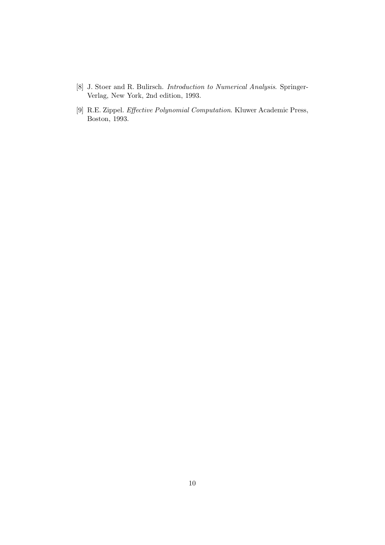- <span id="page-9-1"></span>[8] J. Stoer and R. Bulirsch. Introduction to Numerical Analysis. Springer-Verlag, New York, 2nd edition, 1993.
- <span id="page-9-0"></span>[9] R.E. Zippel. Effective Polynomial Computation. Kluwer Academic Press, Boston, 1993.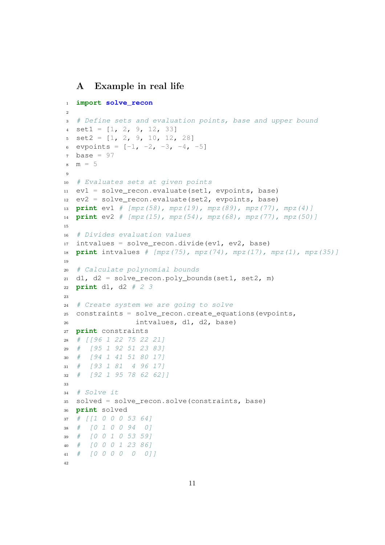# <span id="page-10-0"></span>A Example in real life

```
1 import solve_recon
\overline{2}3 # Define sets and evaluation points, base and upper bound
4 set1 = [1, 2, 9, 12, 33]5 set2 = [1, 2, 9, 10, 12, 28]6 evpoints = [-1, -2, -3, -4, -5]base = 978 \text{ m} = 5\alpha10 # Evaluates sets at given points
11 ev1 = solve_recon.evaluate(set1, evpoints, base)
12 \text{ eV2} = \text{solve\_recon}.\text{evaluate}(\text{set2, } \text{evpoints, } \text{base})13 print ev1 # [mpz(58), mpz(19), mpz(89), mpz(77), mpz(4)]
14 print ev2 # [mpz(15), mpz(54), mpz(68), mpz(77), mpz(50)]
15
16 # Divides evaluation values
17 intvalues = solve recon.divide(ev1, ev2, base)
18 print intvalues # [mpz(75), mpz(74), mpz(17), mpz(1), mpz(35)]19
20 # Calculate polynomial bounds
21 dl, d2 = solve_recon.poly_bounds(set1, set2, m)
22 print d1, d2 # 2 3
2324 # Create system we are going to solve
25 constraints = solve_recon.create_equations(evpoints,
26 intvalues, d1, d2, base)
27 print constraints
28 # [[96 1 22 75 22 21]
29 # [95 1 92 51 23 83]
30 # [94 1 41 51 80 17]
31 # [93 1 81 4 96 17]
32 # [92 1 95 78 62 62]]
33
34 # Solve it
35 solved = solve recon.solve(constraints, base)
36 print solved
37 # [[1 0 0 0 53 64]
38 # [0 1 0 0 94 0]
39 # [0 0 1 0 53 59]
40 # [0 0 0 1 23 86]
41 # [0 0 0 0 0 0]]
42
```